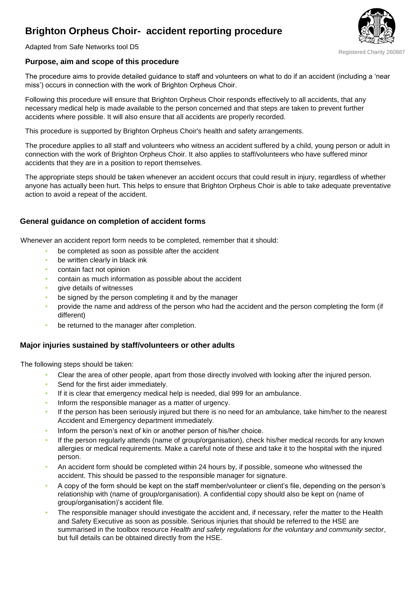# **Brighton Orpheus Choir- accident reporting procedure**



Adapted from Safe Networks tool D5

### **Purpose, aim and scope of this procedure**

The procedure aims to provide detailed guidance to staff and volunteers on what to do if an accident (including a 'near miss') occurs in connection with the work of Brighton Orpheus Choir.

Following this procedure will ensure that Brighton Orpheus Choir responds effectively to all accidents, that any necessary medical help is made available to the person concerned and that steps are taken to prevent further accidents where possible. It will also ensure that all accidents are properly recorded.

This procedure is supported by Brighton Orpheus Choir's health and safety arrangements.

The procedure applies to all staff and volunteers who witness an accident suffered by a child, young person or adult in connection with the work of Brighton Orpheus Choir. It also applies to staff/volunteers who have suffered minor accidents that they are in a position to report themselves.

The appropriate steps should be taken whenever an accident occurs that could result in injury, regardless of whether anyone has actually been hurt. This helps to ensure that Brighton Orpheus Choir is able to take adequate preventative action to avoid a repeat of the accident.

#### **General guidance on completion of accident forms**

Whenever an accident report form needs to be completed, remember that it should:

- be completed as soon as possible after the accident
- be written clearly in black ink
- contain fact not opinion
- contain as much information as possible about the accident
- give details of witnesses
- be signed by the person completing it and by the manager
- provide the name and address of the person who had the accident and the person completing the form (if different)
- be returned to the manager after completion.

#### **Major injuries sustained by staff/volunteers or other adults**

The following steps should be taken:

- Clear the area of other people, apart from those directly involved with looking after the injured person.
- Send for the first aider immediately.
- If it is clear that emergency medical help is needed, dial 999 for an ambulance.
- Inform the responsible manager as a matter of urgency.
- If the person has been seriously injured but there is no need for an ambulance, take him/her to the nearest Accident and Emergency department immediately.
- Inform the person's next of kin or another person of his/her choice.
- If the person regularly attends (name of group/organisation), check his/her medical records for any known allergies or medical requirements. Make a careful note of these and take it to the hospital with the injured person.
- An accident form should be completed within 24 hours by, if possible, someone who witnessed the accident. This should be passed to the responsible manager for signature.
- A copy of the form should be kept on the staff member/volunteer or client's file, depending on the person's relationship with (name of group/organisation). A confidential copy should also be kept on (name of group/organisation)'s accident file.
- The responsible manager should investigate the accident and, if necessary, refer the matter to the Health and Safety Executive as soon as possible. Serious injuries that should be referred to the HSE are summarised in the toolbox resource *Health and safety regulations for the voluntary and community sector*, but full details can be obtained directly from the HSE.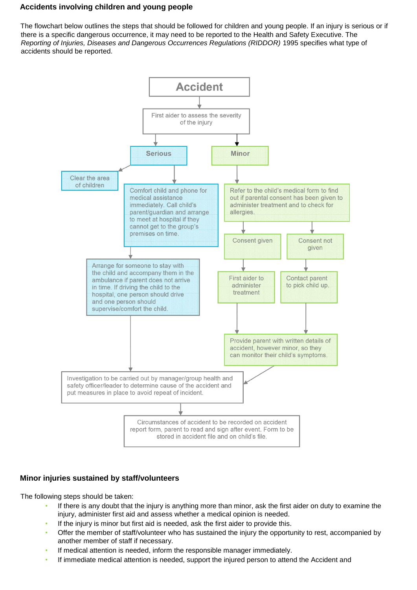# **Accidents involving children and young people**

The flowchart below outlines the steps that should be followed for children and young people. If an injury is serious or if there is a specific dangerous occurrence, it may need to be reported to the Health and Safety Executive. The *Reporting of Injuries, Diseases and Dangerous Occurrences Regulations (RIDDOR)* 1995 specifies what type of accidents should be reported.



# **Minor injuries sustained by staff/volunteers**

The following steps should be taken:

- If there is any doubt that the injury is anything more than minor, ask the first aider on duty to examine the injury, administer first aid and assess whether a medical opinion is needed.
- If the injury is minor but first aid is needed, ask the first aider to provide this.
- Offer the member of staff/volunteer who has sustained the injury the opportunity to rest, accompanied by another member of staff if necessary.
- If medical attention is needed, inform the responsible manager immediately.
- If immediate medical attention is needed, support the injured person to attend the Accident and